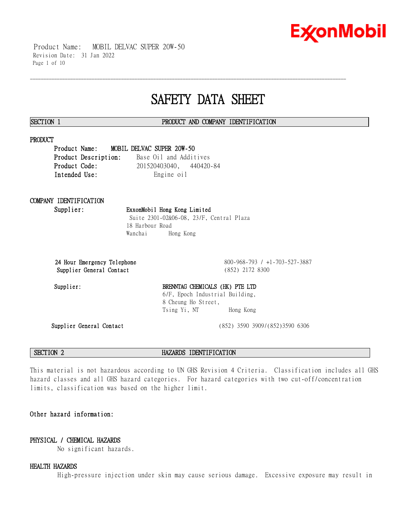

 Product Name: MOBIL DELVAC SUPER 20W-50 Revision Date: 31 Jan 2022 Page 1 of 10

# **SAFETY DATA SHEET**

\_\_\_\_\_\_\_\_\_\_\_\_\_\_\_\_\_\_\_\_\_\_\_\_\_\_\_\_\_\_\_\_\_\_\_\_\_\_\_\_\_\_\_\_\_\_\_\_\_\_\_\_\_\_\_\_\_\_\_\_\_\_\_\_\_\_\_\_\_\_\_\_\_\_\_\_\_\_\_\_\_\_\_\_\_\_\_\_\_\_\_\_\_\_\_\_\_\_\_\_\_\_\_\_\_\_\_\_\_\_\_\_\_\_\_\_\_\_

### **SECTION 1 PRODUCT AND COMPANY IDENTIFICATION**

### **PRODUCT**

**Product Name: MOBIL DELVAC SUPER 20W-50 Product Description:** Base Oil and Additives **Product Code:** 201520403040, 440420-84 Intended Use: Engine oil

# **COMPANY IDENTIFICATION**

**Supplier: ExxonMobil Hong Kong Limited** Suite 2301-02&06-08, 23/F, Central Plaza 18 Harbour Road Wanchai Hong Kong

**24 Hour Emergency Telephone** 800-968-793 / +1-703-527-3887 **Supplier General Contact** (852) 2172 8300

# Supplier: BRENNTAG CHEMICALS (HK) PTE LTD 6/F, Epoch Industrial Building, 8 Cheung Ho Street, Tsing Yi, NT Hong Kong

**Supplier General Contact** (852) 3590 3909/(852)3590 6306

**SECTION 2 HAZARDS IDENTIFICATION**

This material is not hazardous according to UN GHS Revision 4 Criteria. Classification includes all GHS hazard classes and all GHS hazard categories. For hazard categories with two cut-off/concentration limits, classification was based on the higher limit.

# **Other hazard information:**

# **PHYSICAL / CHEMICAL HAZARDS**

No significant hazards.

### **HEALTH HAZARDS**

High-pressure injection under skin may cause serious damage. Excessive exposure may result in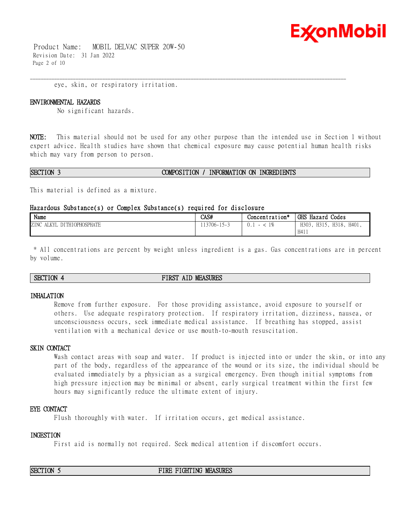

 Product Name: MOBIL DELVAC SUPER 20W-50 Revision Date: 31 Jan 2022 Page 2 of 10

eye, skin, or respiratory irritation.

#### **ENVIRONMENTAL HAZARDS**

No significant hazards.

**NOTE:** This material should not be used for any other purpose than the intended use in Section 1 without expert advice. Health studies have shown that chemical exposure may cause potential human health risks which may vary from person to person.

\_\_\_\_\_\_\_\_\_\_\_\_\_\_\_\_\_\_\_\_\_\_\_\_\_\_\_\_\_\_\_\_\_\_\_\_\_\_\_\_\_\_\_\_\_\_\_\_\_\_\_\_\_\_\_\_\_\_\_\_\_\_\_\_\_\_\_\_\_\_\_\_\_\_\_\_\_\_\_\_\_\_\_\_\_\_\_\_\_\_\_\_\_\_\_\_\_\_\_\_\_\_\_\_\_\_\_\_\_\_\_\_\_\_\_\_\_\_

#### **SECTION 3 COMPOSITION / INFORMATION ON INGREDIENTS**

This material is defined as a mixture.

### **Hazardous Substance(s) or Complex Substance(s) required for disclosure**

| Name                                       | CAS#                                       | Concentration* | GHS Hazard Codes                        |
|--------------------------------------------|--------------------------------------------|----------------|-----------------------------------------|
| ZINC<br>DITHIOPHOSPHATE<br>AT IZVI<br>ALN. | $13706 - 1$<br>1 <sup>C</sup><br>$\lambda$ |                | H318,<br>H401,<br>H303<br>H315,<br>H411 |

\* All concentrations are percent by weight unless ingredient is a gas. Gas concentrations are in percent by volume.

### **SECTION 4 FIRST AID MEASURES**

#### **INHALATION**

Remove from further exposure. For those providing assistance, avoid exposure to yourself or others. Use adequate respiratory protection. If respiratory irritation, dizziness, nausea, or unconsciousness occurs, seek immediate medical assistance. If breathing has stopped, assist ventilation with a mechanical device or use mouth-to-mouth resuscitation.

### **SKIN CONTACT**

Wash contact areas with soap and water. If product is injected into or under the skin, or into any part of the body, regardless of the appearance of the wound or its size, the individual should be evaluated immediately by a physician as a surgical emergency. Even though initial symptoms from high pressure injection may be minimal or absent, early surgical treatment within the first few hours may significantly reduce the ultimate extent of injury.

#### **EYE CONTACT**

Flush thoroughly with water. If irritation occurs, get medical assistance.

### **INGESTION**

First aid is normally not required. Seek medical attention if discomfort occurs.

**SECTION 5 FIRE FIGHTING MEASURES**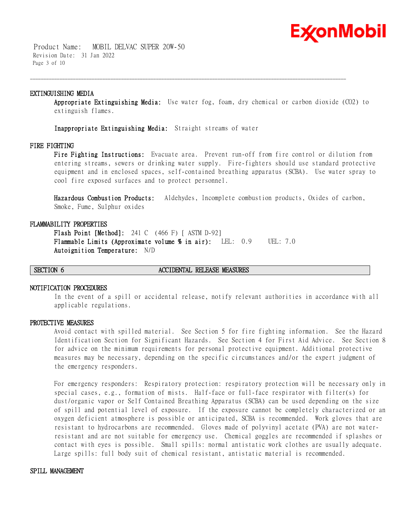

 Product Name: MOBIL DELVAC SUPER 20W-50 Revision Date: 31 Jan 2022 Page 3 of 10

### **EXTINGUISHING MEDIA**

**Appropriate Extinguishing Media:** Use water fog, foam, dry chemical or carbon dioxide (CO2) to extinguish flames.

\_\_\_\_\_\_\_\_\_\_\_\_\_\_\_\_\_\_\_\_\_\_\_\_\_\_\_\_\_\_\_\_\_\_\_\_\_\_\_\_\_\_\_\_\_\_\_\_\_\_\_\_\_\_\_\_\_\_\_\_\_\_\_\_\_\_\_\_\_\_\_\_\_\_\_\_\_\_\_\_\_\_\_\_\_\_\_\_\_\_\_\_\_\_\_\_\_\_\_\_\_\_\_\_\_\_\_\_\_\_\_\_\_\_\_\_\_\_

**Inappropriate Extinguishing Media:** Straight streams of water

#### **FIRE FIGHTING**

**Fire Fighting Instructions:** Evacuate area. Prevent run-off from fire control or dilution from entering streams, sewers or drinking water supply. Fire-fighters should use standard protective equipment and in enclosed spaces, self-contained breathing apparatus (SCBA). Use water spray to cool fire exposed surfaces and to protect personnel.

**Hazardous Combustion Products:** Aldehydes, Incomplete combustion products, Oxides of carbon, Smoke, Fume, Sulphur oxides

#### **FLAMMABILITY PROPERTIES**

**Flash Point [Method]:** 241 C (466 F) [ ASTM D-92] **Flammable Limits (Approximate volume % in air):** LEL: 0.9 UEL: 7.0 **Autoignition Temperature:** N/D

#### **SECTION 6 ACCIDENTAL RELEASE MEASURES**

#### **NOTIFICATION PROCEDURES**

In the event of a spill or accidental release, notify relevant authorities in accordance with all applicable regulations.

#### **PROTECTIVE MEASURES**

Avoid contact with spilled material. See Section 5 for fire fighting information. See the Hazard Identification Section for Significant Hazards. See Section 4 for First Aid Advice. See Section 8 for advice on the minimum requirements for personal protective equipment. Additional protective measures may be necessary, depending on the specific circumstances and/or the expert judgment of the emergency responders.

For emergency responders: Respiratory protection: respiratory protection will be necessary only in special cases, e.g., formation of mists. Half-face or full-face respirator with filter(s) for dust/organic vapor or Self Contained Breathing Apparatus (SCBA) can be used depending on the size of spill and potential level of exposure. If the exposure cannot be completely characterized or an oxygen deficient atmosphere is possible or anticipated, SCBA is recommended. Work gloves that are resistant to hydrocarbons are recommended. Gloves made of polyvinyl acetate (PVA) are not waterresistant and are not suitable for emergency use. Chemical goggles are recommended if splashes or contact with eyes is possible. Small spills: normal antistatic work clothes are usually adequate. Large spills: full body suit of chemical resistant, antistatic material is recommended.

#### **SPILL MANAGEMENT**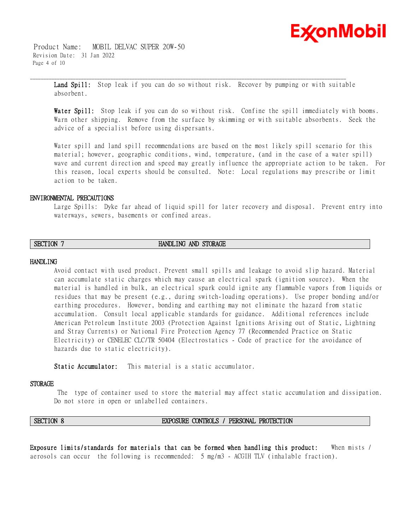

 Product Name: MOBIL DELVAC SUPER 20W-50 Revision Date: 31 Jan 2022 Page 4 of 10

> **Land Spill:** Stop leak if you can do so without risk. Recover by pumping or with suitable absorbent.

\_\_\_\_\_\_\_\_\_\_\_\_\_\_\_\_\_\_\_\_\_\_\_\_\_\_\_\_\_\_\_\_\_\_\_\_\_\_\_\_\_\_\_\_\_\_\_\_\_\_\_\_\_\_\_\_\_\_\_\_\_\_\_\_\_\_\_\_\_\_\_\_\_\_\_\_\_\_\_\_\_\_\_\_\_\_\_\_\_\_\_\_\_\_\_\_\_\_\_\_\_\_\_\_\_\_\_\_\_\_\_\_\_\_\_\_\_\_

**Water Spill:** Stop leak if you can do so without risk. Confine the spill immediately with booms. Warn other shipping. Remove from the surface by skimming or with suitable absorbents. Seek the advice of a specialist before using dispersants.

Water spill and land spill recommendations are based on the most likely spill scenario for this material; however, geographic conditions, wind, temperature, (and in the case of a water spill) wave and current direction and speed may greatly influence the appropriate action to be taken. For this reason, local experts should be consulted. Note: Local regulations may prescribe or limit action to be taken.

#### **ENVIRONMENTAL PRECAUTIONS**

Large Spills: Dyke far ahead of liquid spill for later recovery and disposal. Prevent entry into waterways, sewers, basements or confined areas.

# **SECTION 7 HANDLING AND STORAGE**

#### **HANDLING**

Avoid contact with used product. Prevent small spills and leakage to avoid slip hazard. Material can accumulate static charges which may cause an electrical spark (ignition source). When the material is handled in bulk, an electrical spark could ignite any flammable vapors from liquids or residues that may be present (e.g., during switch-loading operations). Use proper bonding and/or earthing procedures. However, bonding and earthing may not eliminate the hazard from static accumulation. Consult local applicable standards for guidance. Additional references include American Petroleum Institute 2003 (Protection Against Ignitions Arising out of Static, Lightning and Stray Currents) or National Fire Protection Agency 77 (Recommended Practice on Static Electricity) or CENELEC CLC/TR 50404 (Electrostatics - Code of practice for the avoidance of hazards due to static electricity).

**Static Accumulator:** This material is a static accumulator.

#### **STORAGE**

The type of container used to store the material may affect static accumulation and dissipation. Do not store in open or unlabelled containers.

#### **SECTION 8 EXPOSURE CONTROLS / PERSONAL PROTECTION**

**Exposure limits/standards for materials that can be formed when handling this product:** When mists / aerosols can occur the following is recommended: 5 mg/m3 - ACGIH TLV (inhalable fraction).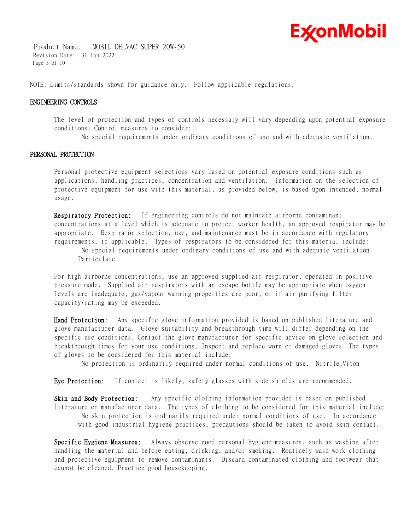

 Product Name: MOBIL DELVAC SUPER 20W-50 Revision Date: 31 Jan 2022 Page 5 of 10

NOTE: Limits/standards shown for guidance only. Follow applicable regulations.

\_\_\_\_\_\_\_\_\_\_\_\_\_\_\_\_\_\_\_\_\_\_\_\_\_\_\_\_\_\_\_\_\_\_\_\_\_\_\_\_\_\_\_\_\_\_\_\_\_\_\_\_\_\_\_\_\_\_\_\_\_\_\_\_\_\_\_\_\_\_\_\_\_\_\_\_\_\_\_\_\_\_\_\_\_\_\_\_\_\_\_\_\_\_\_\_\_\_\_\_\_\_\_\_\_\_\_\_\_\_\_\_\_\_\_\_\_\_

### **ENGINEERING CONTROLS**

The level of protection and types of controls necessary will vary depending upon potential exposure conditions. Control measures to consider:

No special requirements under ordinary conditions of use and with adequate ventilation.

### **PERSONAL PROTECTION**

Personal protective equipment selections vary based on potential exposure conditions such as applications, handling practices, concentration and ventilation. Information on the selection of protective equipment for use with this material, as provided below, is based upon intended, normal usage.

**Respiratory Protection:** If engineering controls do not maintain airborne contaminant concentrations at a level which is adequate to protect worker health, an approved respirator may be appropriate. Respirator selection, use, and maintenance must be in accordance with regulatory requirements, if applicable. Types of respirators to be considered for this material include:

No special requirements under ordinary conditions of use and with adequate ventilation. Particulate

For high airborne concentrations, use an approved supplied-air respirator, operated in positive pressure mode. Supplied air respirators with an escape bottle may be appropriate when oxygen levels are inadequate, gas/vapour warning properties are poor, or if air purifying filter capacity/rating may be exceeded.

**Hand Protection:** Any specific glove information provided is based on published literature and glove manufacturer data. Glove suitability and breakthrough time will differ depending on the specific use conditions. Contact the glove manufacturer for specific advice on glove selection and breakthrough times for your use conditions. Inspect and replace worn or damaged gloves. The types of gloves to be considered for this material include:

No protection is ordinarily required under normal conditions of use. Nitrile,Viton

**Eye Protection:** If contact is likely, safety glasses with side shields are recommended.

**Skin and Body Protection:** Any specific clothing information provided is based on published literature or manufacturer data. The types of clothing to be considered for this material include: No skin protection is ordinarily required under normal conditions of use. In accordance with good industrial hygiene practices, precautions should be taken to avoid skin contact.

**Specific Hygiene Measures:** Always observe good personal hygiene measures, such as washing after handling the material and before eating, drinking, and/or smoking. Routinely wash work clothing and protective equipment to remove contaminants. Discard contaminated clothing and footwear that cannot be cleaned. Practice good housekeeping.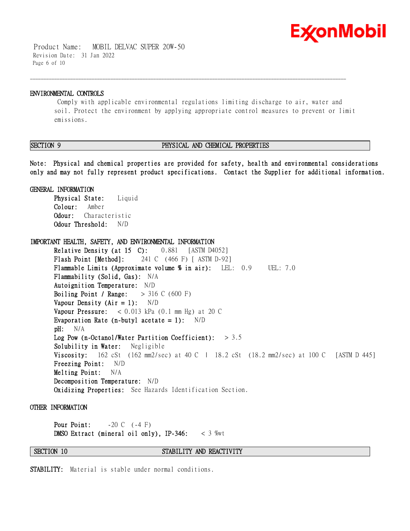

 Product Name: MOBIL DELVAC SUPER 20W-50 Revision Date: 31 Jan 2022 Page 6 of 10

#### **ENVIRONMENTAL CONTROLS**

Comply with applicable environmental regulations limiting discharge to air, water and soil. Protect the environment by applying appropriate control measures to prevent or limit emissions.

\_\_\_\_\_\_\_\_\_\_\_\_\_\_\_\_\_\_\_\_\_\_\_\_\_\_\_\_\_\_\_\_\_\_\_\_\_\_\_\_\_\_\_\_\_\_\_\_\_\_\_\_\_\_\_\_\_\_\_\_\_\_\_\_\_\_\_\_\_\_\_\_\_\_\_\_\_\_\_\_\_\_\_\_\_\_\_\_\_\_\_\_\_\_\_\_\_\_\_\_\_\_\_\_\_\_\_\_\_\_\_\_\_\_\_\_\_\_

### **SECTION 9 PHYSICAL AND CHEMICAL PROPERTIES**

**Note: Physical and chemical properties are provided for safety, health and environmental considerations only and may not fully represent product specifications. Contact the Supplier for additional information.**

**GENERAL INFORMATION Physical State:** Liquid **Colour:** Amber **Odour:** Characteristic

**Odour Threshold:** N/D

**IMPORTANT HEALTH, SAFETY, AND ENVIRONMENTAL INFORMATION Relative Density (at 15 C):** 0.881 [ASTM D4052] **Flash Point [Method]:** 241 C (466 F) [ ASTM D-92] **Flammable Limits (Approximate volume % in air):** LEL: 0.9 UEL: 7.0 **Flammability (Solid, Gas):** N/A **Autoignition Temperature:** N/D **Boiling Point / Range:** > 316 C (600 F) **Vapour Density (Air = 1):** N/D **Vapour Pressure:** < 0.013 kPa (0.1 mm Hg) at 20 C **Evaporation Rate (n-butyl acetate = 1):** N/D **pH:** N/A **Log Pow (n-Octanol/Water Partition Coefficient):** > 3.5 **Solubility in Water:** Negligible **Viscosity:** 162 cSt (162 mm2/sec) at 40 C | 18.2 cSt (18.2 mm2/sec) at 100 C [ASTM D 445] **Freezing Point:** N/D **Melting Point:** N/A **Decomposition Temperature:** N/D **Oxidizing Properties:** See Hazards Identification Section.

**OTHER INFORMATION**

**Pour Point:**  $-20 \text{ C}$  (-4 F) **DMSO Extract (mineral oil only), IP-346:** < 3 %wt

**SECTION 10 STABILITY AND REACTIVITY** 

**STABILITY:** Material is stable under normal conditions.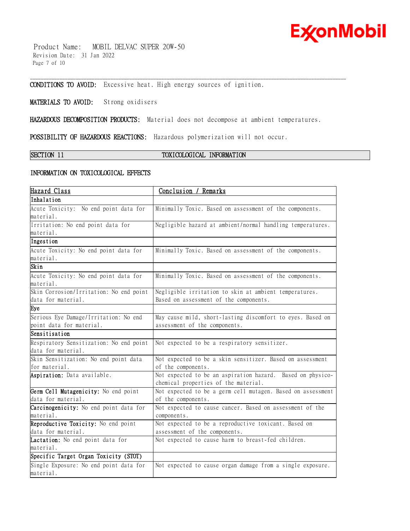

 Product Name: MOBIL DELVAC SUPER 20W-50 Revision Date: 31 Jan 2022 Page 7 of 10

**CONDITIONS TO AVOID:** Excessive heat. High energy sources of ignition.

# **MATERIALS TO AVOID:** Strong oxidisers

**HAZARDOUS DECOMPOSITION PRODUCTS:** Material does not decompose at ambient temperatures.

\_\_\_\_\_\_\_\_\_\_\_\_\_\_\_\_\_\_\_\_\_\_\_\_\_\_\_\_\_\_\_\_\_\_\_\_\_\_\_\_\_\_\_\_\_\_\_\_\_\_\_\_\_\_\_\_\_\_\_\_\_\_\_\_\_\_\_\_\_\_\_\_\_\_\_\_\_\_\_\_\_\_\_\_\_\_\_\_\_\_\_\_\_\_\_\_\_\_\_\_\_\_\_\_\_\_\_\_\_\_\_\_\_\_\_\_\_\_

**POSSIBILITY OF HAZARDOUS REACTIONS:** Hazardous polymerization will not occur.

# **SECTION 11 TOXICOLOGICAL INFORMATION**

### **INFORMATION ON TOXICOLOGICAL EFFECTS**

| Hazard Class                            | Conclusion / Remarks                                                                               |
|-----------------------------------------|----------------------------------------------------------------------------------------------------|
| Inhalation                              |                                                                                                    |
| Acute Toxicity: No end point data for   | Minimally Toxic. Based on assessment of the components.                                            |
| material.                               |                                                                                                    |
| Irritation: No end point data for       | Negligible hazard at ambient/normal handling temperatures.                                         |
| material.                               |                                                                                                    |
| Ingestion                               |                                                                                                    |
| Acute Toxicity: No end point data for   | Minimally Toxic. Based on assessment of the components.                                            |
| material.                               |                                                                                                    |
| Skin                                    |                                                                                                    |
| Acute Toxicity: No end point data for   | Minimally Toxic. Based on assessment of the components.                                            |
| material.                               |                                                                                                    |
| Skin Corrosion/Irritation: No end point | Negligible irritation to skin at ambient temperatures.                                             |
| data for material.                      | Based on assessment of the components.                                                             |
| Eye                                     |                                                                                                    |
| Serious Eye Damage/Irritation: No end   | May cause mild, short-lasting discomfort to eyes. Based on                                         |
| point data for material.                | assessment of the components.                                                                      |
| Sensitisation                           |                                                                                                    |
| Respiratory Sensitization: No end point | Not expected to be a respiratory sensitizer.                                                       |
| data for material.                      |                                                                                                    |
| Skin Sensitization: No end point data   | Not expected to be a skin sensitizer. Based on assessment                                          |
| for material.                           | of the components.                                                                                 |
| Aspiration: Data available.             | Not expected to be an aspiration hazard. Based on physico-<br>chemical properties of the material. |
| Germ Cell Mutagenicity: No end point    | Not expected to be a germ cell mutagen. Based on assessment                                        |
| data for material.                      | of the components.                                                                                 |
| Carcinogenicity: No end point data for  | Not expected to cause cancer. Based on assessment of the                                           |
| material.                               | components.                                                                                        |
| Reproductive Toxicity: No end point     | Not expected to be a reproductive toxicant. Based on                                               |
| data for material.                      | assessment of the components.                                                                      |
| Lactation: No end point data for        | Not expected to cause harm to breast-fed children.                                                 |
| material.                               |                                                                                                    |
| Specific Target Organ Toxicity (STOT)   |                                                                                                    |
| Single Exposure: No end point data for  | Not expected to cause organ damage from a single exposure.                                         |
| material.                               |                                                                                                    |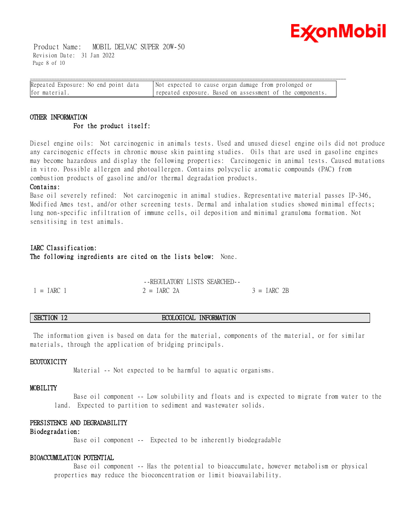

 Product Name: MOBIL DELVAC SUPER 20W-50 Revision Date: 31 Jan 2022 Page 8 of 10

| Repeated Exposure: No end point data | Not expected to cause organ damage from prolonged or      |
|--------------------------------------|-----------------------------------------------------------|
| for material.                        | repeated exposure. Based on assessment of the components. |

# **OTHER INFORMATION For the product itself:**

Diesel engine oils: Not carcinogenic in animals tests. Used and unused diesel engine oils did not produce any carcinogenic effects in chronic mouse skin painting studies. Oils that are used in gasoline engines may become hazardous and display the following properties: Carcinogenic in animal tests. Caused mutations in vitro. Possible allergen and photoallergen. Contains polycyclic aromatic compounds (PAC) from combustion products of gasoline and/or thermal degradation products.

### **Contains:**

Base oil severely refined: Not carcinogenic in animal studies. Representative material passes IP-346, Modified Ames test, and/or other screening tests. Dermal and inhalation studies showed minimal effects; lung non-specific infiltration of immune cells, oil deposition and minimal granuloma formation. Not sensitising in test animals.

# **IARC Classification: The following ingredients are cited on the lists below:** None.

|              | -FREGULATORY LISTS SEARCHED- |               |
|--------------|------------------------------|---------------|
| $1 = IARC$ 1 | $2 = IARC 2A$                | $3 = IARC$ 2B |

# **SECTION 12 ECOLOGICAL INFORMATION**

The information given is based on data for the material, components of the material, or for similar materials, through the application of bridging principals.

### **ECOTOXICITY**

Material -- Not expected to be harmful to aquatic organisms.

### **MOBILITY**

 Base oil component -- Low solubility and floats and is expected to migrate from water to the land. Expected to partition to sediment and wastewater solids.

#### **PERSISTENCE AND DEGRADABILITY**

### **Biodegradation:**

Base oil component -- Expected to be inherently biodegradable

# **BIOACCUMULATION POTENTIAL**

 Base oil component -- Has the potential to bioaccumulate, however metabolism or physical properties may reduce the bioconcentration or limit bioavailability.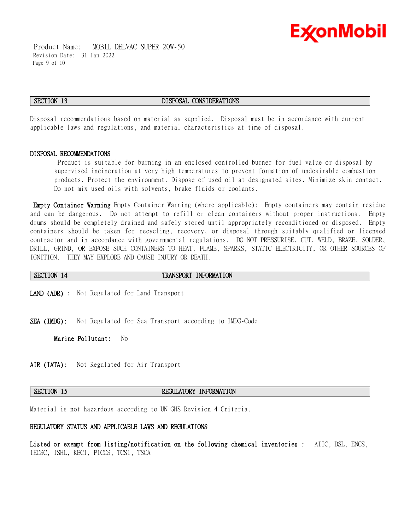

 Product Name: MOBIL DELVAC SUPER 20W-50 Revision Date: 31 Jan 2022 Page 9 of 10

#### **SECTION 13 DISPOSAL CONSIDERATIONS**

\_\_\_\_\_\_\_\_\_\_\_\_\_\_\_\_\_\_\_\_\_\_\_\_\_\_\_\_\_\_\_\_\_\_\_\_\_\_\_\_\_\_\_\_\_\_\_\_\_\_\_\_\_\_\_\_\_\_\_\_\_\_\_\_\_\_\_\_\_\_\_\_\_\_\_\_\_\_\_\_\_\_\_\_\_\_\_\_\_\_\_\_\_\_\_\_\_\_\_\_\_\_\_\_\_\_\_\_\_\_\_\_\_\_\_\_\_\_

Disposal recommendations based on material as supplied. Disposal must be in accordance with current applicable laws and regulations, and material characteristics at time of disposal.

#### **DISPOSAL RECOMMENDATIONS**

Product is suitable for burning in an enclosed controlled burner for fuel value or disposal by supervised incineration at very high temperatures to prevent formation of undesirable combustion products. Protect the environment. Dispose of used oil at designated sites. Minimize skin contact. Do not mix used oils with solvents, brake fluids or coolants.

**Empty Container Warning** Empty Container Warning (where applicable): Empty containers may contain residue and can be dangerous. Do not attempt to refill or clean containers without proper instructions. Empty drums should be completely drained and safely stored until appropriately reconditioned or disposed. Empty containers should be taken for recycling, recovery, or disposal through suitably qualified or licensed contractor and in accordance with governmental regulations. DO NOT PRESSURISE, CUT, WELD, BRAZE, SOLDER, DRILL, GRIND, OR EXPOSE SUCH CONTAINERS TO HEAT, FLAME, SPARKS, STATIC ELECTRICITY, OR OTHER SOURCES OF IGNITION. THEY MAY EXPLODE AND CAUSE INJURY OR DEATH.

#### **SECTION 14 TRANSPORT INFORMATION**

**LAND (ADR)** : Not Regulated for Land Transport

**SEA (IMDG):** Not Regulated for Sea Transport according to IMDG-Code

**Marine Pollutant:** No

**AIR (IATA):** Not Regulated for Air Transport

### **SECTION 15 REGULATORY INFORMATION**

Material is not hazardous according to UN GHS Revision 4 Criteria.

#### **REGULATORY STATUS AND APPLICABLE LAWS AND REGULATIONS**

**Listed or exempt from listing/notification on the following chemical inventories :** AIIC, DSL, ENCS, IECSC, ISHL, KECI, PICCS, TCSI, TSCA